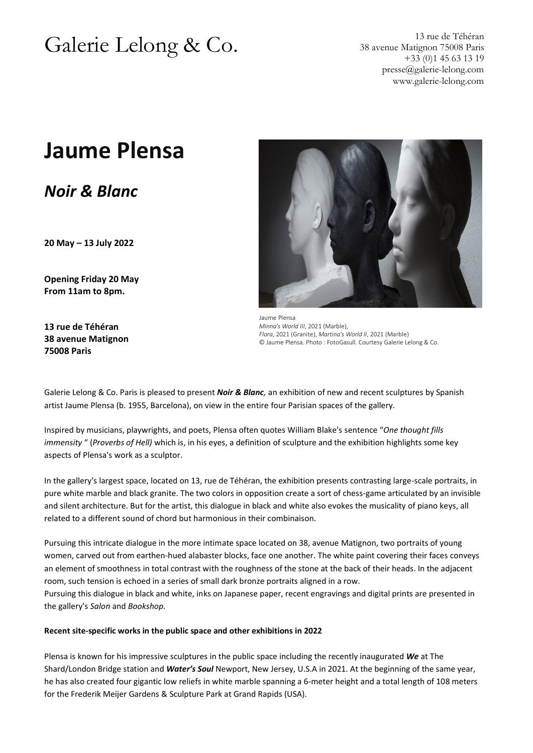# Galerie Lelong & Co. 13 rue de Téhéran

38 avenue Matignon 75008 Paris +33 (0)1 45 63 13 19 [presse@galerie-lelong.com](mailto:presse@galerie-lelong.com) www.galerie-lelong.com

## **Jaume Plensa**

*Noir & Blanc*

**20 May – 13 July 2022**

**Opening Friday 20 May From 11am to 8pm.**

**13 rue de Téhéran 38 avenue Matignon 75008 Paris**



Jaume Plensa *Minna's World III*, 2021 (Marble), *Flora*, 2021 (Granite), *Martina's World II*, 2021 (Marble) © Jaume Plensa. Photo : FotoGasull. Courtesy Galerie Lelong & Co.

Galerie Lelong & Co. Paris is pleased to present *Noir & Blanc,* an exhibition of new and recent sculptures by Spanish artist Jaume Plensa (b. 1955, Barcelona), on view in the entire four Parisian spaces of the gallery.

Inspired by musicians, playwrights, and poets, Plensa often quotes William Blake's sentence "*One thought fills immensity* " (*Proverbs of Hell)* which is, in his eyes, a definition of sculpture and the exhibition highlights some key aspects of Plensa's work as a sculptor.

In the gallery's largest space, located on 13, rue de Téhéran, the exhibition presents contrasting large-scale portraits, in pure white marble and black granite. The two colors in opposition create a sort of chess-game articulated by an invisible and silent architecture. But for the artist, this dialogue in black and white also evokes the musicality of piano keys, all related to a different sound of chord but harmonious in their combinaison.

Pursuing this intricate dialogue in the more intimate space located on 38, avenue Matignon, two portraits of young women, carved out from earthen-hued alabaster blocks, face one another. The white paint covering their faces conveys an element of smoothness in total contrast with the roughness of the stone at the back of their heads. In the adjacent room, such tension is echoed in a series of small dark bronze portraits aligned in a row.

Pursuing this dialogue in black and white, inks on Japanese paper, recent engravings and digital prints are presented in the gallery's *Salon* and *Bookshop.*

#### **Recent site-specific works in the public space and other exhibitions in 2022**

Plensa is known for his impressive sculptures in the public space including the recently inaugurated *We* at The Shard/London Bridge station and *Water's Soul* Newport, New Jersey, U.S.A in 2021. At the beginning of the same year, he has also created four gigantic low reliefs in white marble spanning a 6-meter height and a total length of 108 meters for the Frederik Meijer Gardens & Sculpture Park at Grand Rapids (USA).